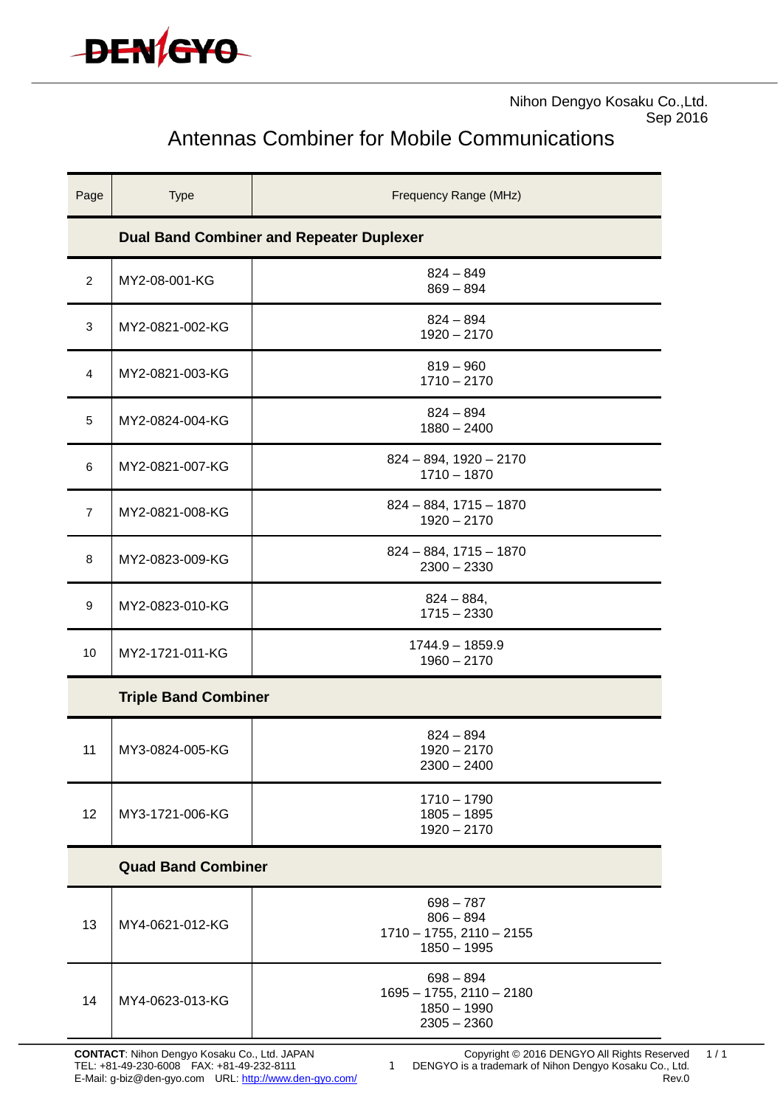

Nihon Dengyo Kosaku Co.,Ltd. Sep 2016

# Antennas Combiner for Mobile Communications

| Page                        | <b>Type</b>     | Frequency Range (MHz)                                                          |
|-----------------------------|-----------------|--------------------------------------------------------------------------------|
|                             |                 | <b>Dual Band Combiner and Repeater Duplexer</b>                                |
| $\overline{2}$              | MY2-08-001-KG   | $824 - 849$<br>$869 - 894$                                                     |
| 3                           | MY2-0821-002-KG | $824 - 894$<br>$1920 - 2170$                                                   |
| 4                           | MY2-0821-003-KG | $819 - 960$<br>$1710 - 2170$                                                   |
| 5                           | MY2-0824-004-KG | $824 - 894$<br>$1880 - 2400$                                                   |
| 6                           | MY2-0821-007-KG | $824 - 894$ , 1920 - 2170<br>$1710 - 1870$                                     |
| 7                           | MY2-0821-008-KG | $824 - 884$ , $1715 - 1870$<br>$1920 - 2170$                                   |
| 8                           | MY2-0823-009-KG | $824 - 884$ , $1715 - 1870$<br>$2300 - 2330$                                   |
| 9                           | MY2-0823-010-KG | $824 - 884,$<br>$1715 - 2330$                                                  |
| 10                          | MY2-1721-011-KG | $1744.9 - 1859.9$<br>$1960 - 2170$                                             |
| <b>Triple Band Combiner</b> |                 |                                                                                |
| 11                          | MY3-0824-005-KG | $824 - 894$<br>$1920 - 2170$<br>2300 – 2400                                    |
| 12                          | MY3-1721-006-KG | $1710 - 1790$<br>$1805 - 1895$<br>$1920 - 2170$                                |
| <b>Quad Band Combiner</b>   |                 |                                                                                |
| 13                          | MY4-0621-012-KG | $698 - 787$<br>$806 - 894$<br>$1710 - 1755$ , $2110 - 2155$<br>$1850 - 1995$   |
| 14                          | MY4-0623-013-KG | $698 - 894$<br>$1695 - 1755$ , $2110 - 2180$<br>$1850 - 1990$<br>$2305 - 2360$ |

1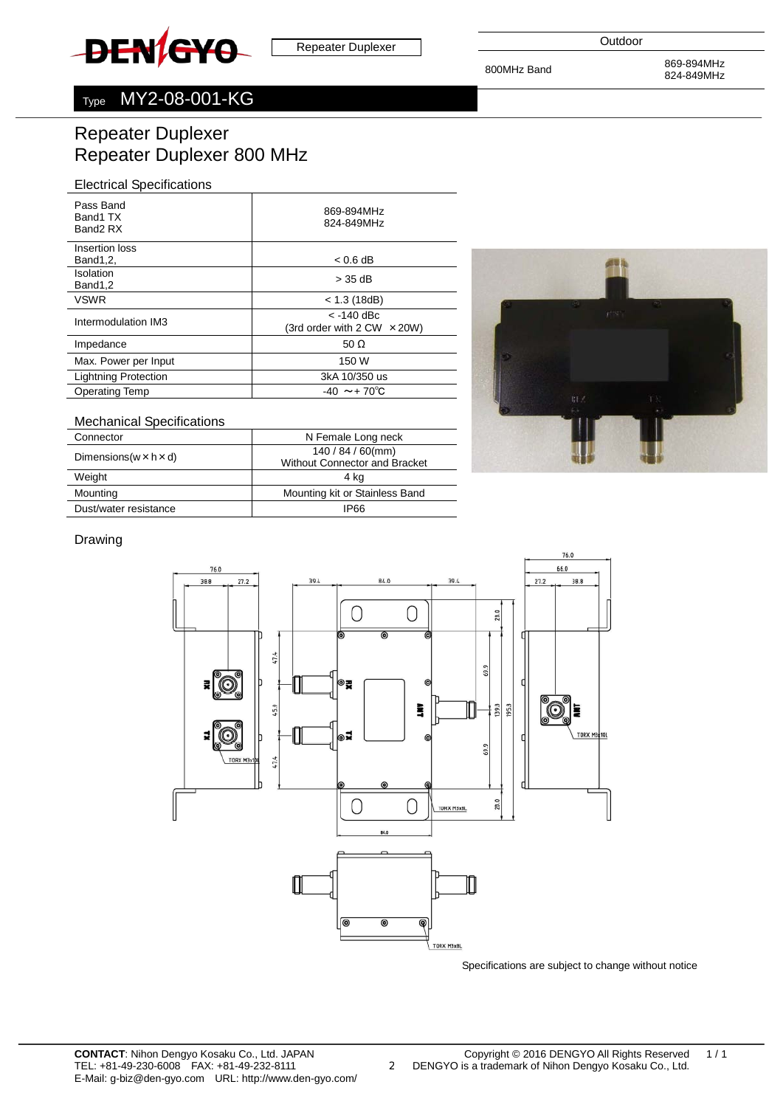<span id="page-1-0"></span>

800MHz Band 869-894MHz 824-849MHz

# Type MY2-08-001-KG

# Repeater Duplexer Repeater Duplexer 800 MHz

#### Electrical Specifications

| Pass Band<br>Band1 TX<br>Band <sub>2</sub> RX | 869-894MHz<br>824-849MHz             |
|-----------------------------------------------|--------------------------------------|
| Insertion loss                                |                                      |
| Band1,2,                                      | $< 0.6$ dB                           |
| Isolation<br>Band1,2                          | > 35 dB                              |
| <b>VSWR</b>                                   | $<$ 1.3 (18dB)                       |
| Intermodulation IM3                           | $<$ -140 dBc                         |
|                                               | (3rd order with $2$ CW $\times$ 20W) |
| Impedance                                     | 50 $\Omega$                          |
| Max. Power per Input                          | 150 W                                |
| <b>Lightning Protection</b>                   | 3kA 10/350 us                        |
| <b>Operating Temp</b>                         | $-40 \sim +70^{\circ}$ C             |
|                                               |                                      |

#### Mechanical Specifications

| N Female Long neck                   |
|--------------------------------------|
| $140/84/60$ (mm)                     |
| <b>Without Connector and Bracket</b> |
| 4 kg                                 |
| Mounting kit or Stainless Band       |
| IP66                                 |
|                                      |



#### Drawing



2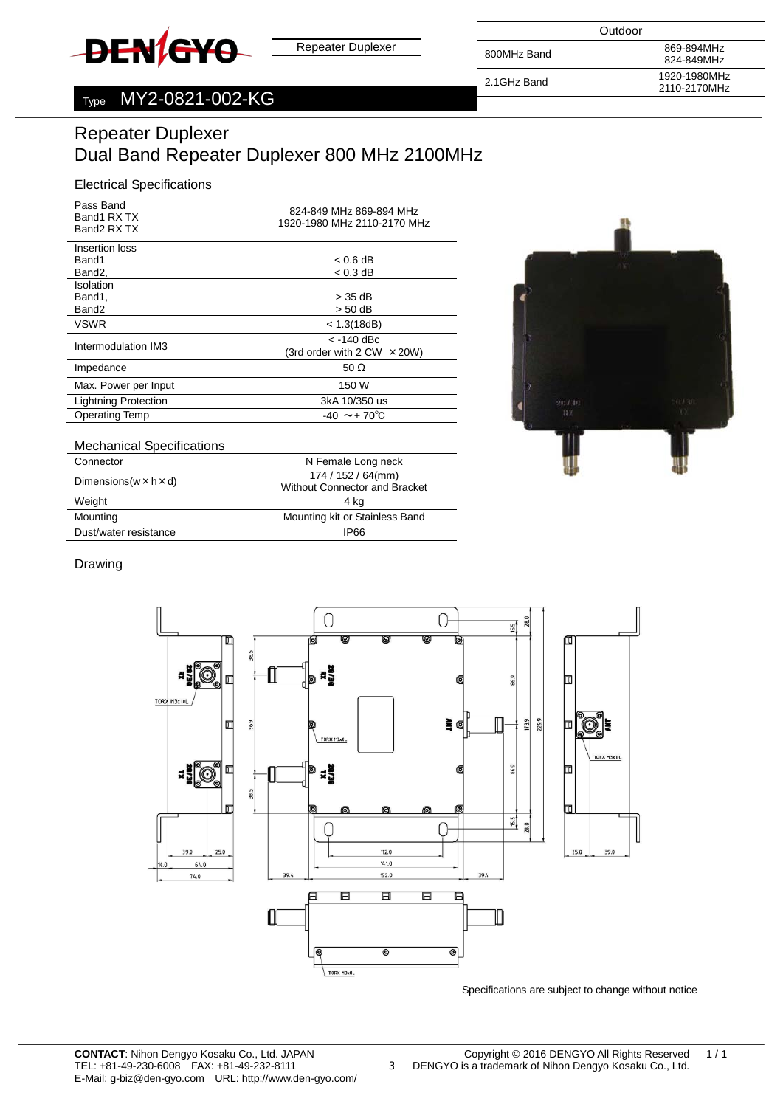<span id="page-2-0"></span>

800MHz Band 869-894MHz 824-849MHz 2.1GHz Band 1920-1980MHz 2110-2170MHz

# Type MY2-0821-002-KG

# Repeater Duplexer Dual Band Repeater Duplexer 800 MHz 2100MHz

#### Electrical Specifications

| Pass Band<br>Band1 RX TX<br>Band2 RX TX | 824-849 MHz 869-894 MHz<br>1920-1980 MHz 2110-2170 MHz |
|-----------------------------------------|--------------------------------------------------------|
| Insertion loss                          |                                                        |
| Band1                                   | $< 0.6$ dB                                             |
| Band <sub>2</sub> ,                     | $< 0.3$ dB                                             |
| Isolation                               |                                                        |
| Band1,                                  | > 35 dB                                                |
| Band <sub>2</sub>                       | > 50 dB                                                |
| <b>VSWR</b>                             | < 1.3(18dB)                                            |
|                                         | $<$ -140 dBc                                           |
| Intermodulation IM3                     | (3rd order with $2$ CW $\times$ 20W)                   |
| Impedance                               | 50 $\Omega$                                            |
| Max. Power per Input                    | 150 W                                                  |
| <b>Lightning Protection</b>             | 3kA 10/350 us                                          |
| <b>Operating Temp</b>                   | $-40 \sim +70^{\circ}C$                                |



#### Mechanical Specifications

| Connector                            | N Female Long neck                                        |
|--------------------------------------|-----------------------------------------------------------|
| Dimensions ( $w \times h \times d$ ) | $174/152/64$ (mm)<br><b>Without Connector and Bracket</b> |
| Weight                               | 4 ka                                                      |
| Mounting                             | Mounting kit or Stainless Band                            |
| Dust/water resistance                | IP66                                                      |

#### Drawing



3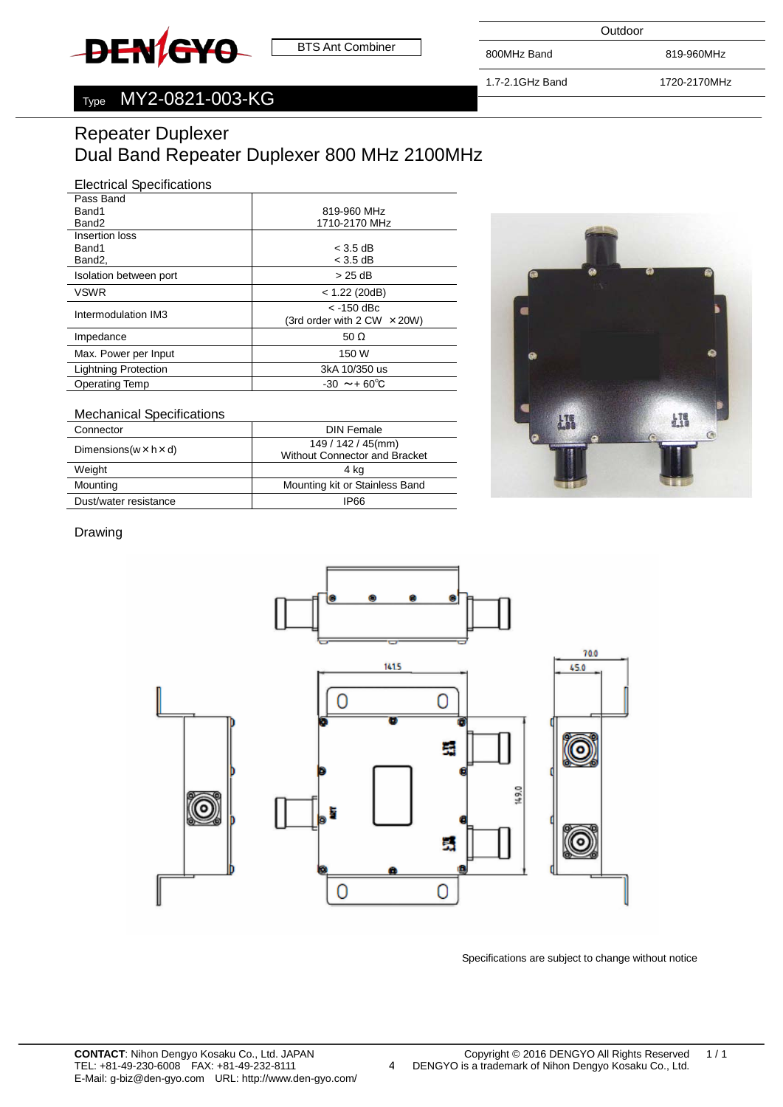<span id="page-3-0"></span>

Outdoor

800MHz Band 819-960MHz

1.7-2.1GHz Band 1720-2170MHz

# Type MY2-0821-003-KG

# Repeater Duplexer Dual Band Repeater Duplexer 800 MHz 2100MHz

#### Electrical Specifications

| Pass Band                   |                                                    |
|-----------------------------|----------------------------------------------------|
| Band1                       | 819-960 MHz                                        |
| Band <sub>2</sub>           | 1710-2170 MHz                                      |
| Insertion loss              |                                                    |
| Band1                       | $<$ 3.5 dB                                         |
| Band <sub>2</sub> ,         | $<$ 3.5 dB                                         |
| Isolation between port      | > 25 dB                                            |
| <b>VSWR</b>                 | $<$ 1.22 (20dB)                                    |
| Intermodulation IM3         | $<$ -150 dBc<br>(3rd order with 2 CW $\times$ 20W) |
| Impedance                   | 50 $\Omega$                                        |
| Max. Power per Input        | 150 W                                              |
| <b>Lightning Protection</b> | 3kA 10/350 us                                      |
| <b>Operating Temp</b>       | $-30 \sim +60^{\circ}C$                            |
|                             |                                                    |

#### Mechanical Specifications

| Connector                            | DIN Female                                                |
|--------------------------------------|-----------------------------------------------------------|
| Dimensions ( $w \times h \times d$ ) | $149/142/45$ (mm)<br><b>Without Connector and Bracket</b> |
| Weight                               | 4 kg                                                      |
| Mounting                             | Mounting kit or Stainless Band                            |
| Dust/water resistance                | IP66                                                      |



#### Drawing



Specifications are subject to change without notice

4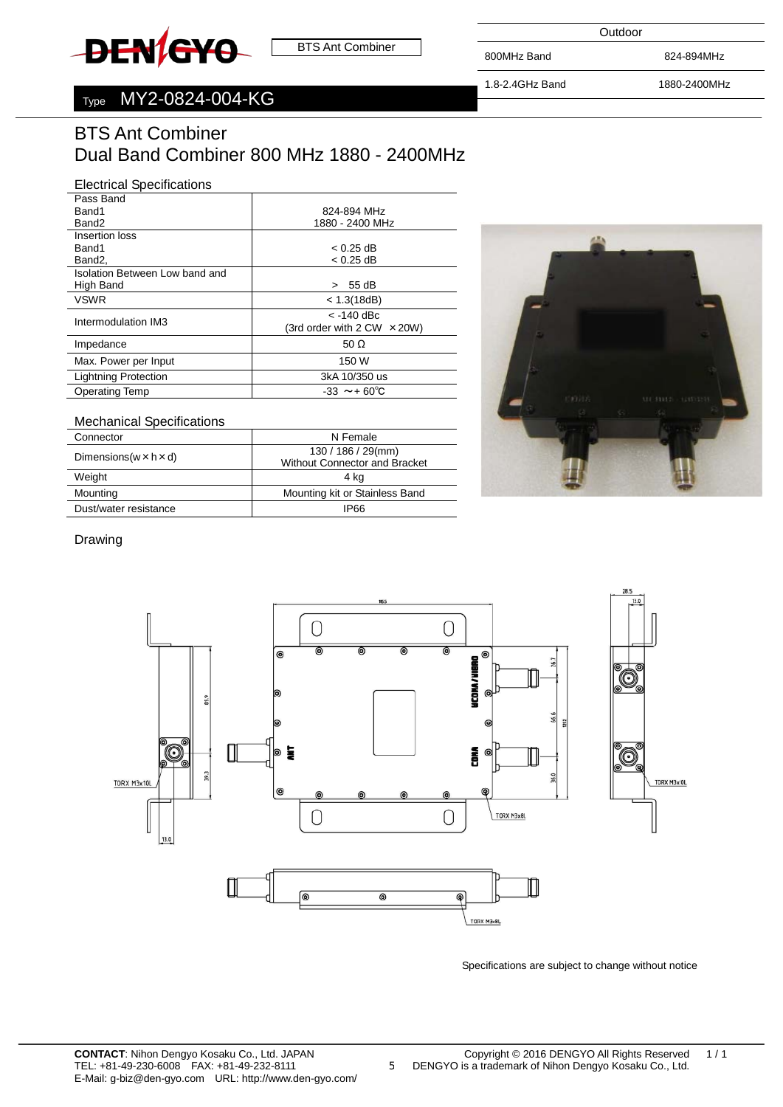<span id="page-4-0"></span>

**Outdoor** 

800MHz Band 824-894MHz

1.8-2.4GHz Band 1880-2400MHz

# Type MY2-0824-004-KG

# BTS Ant Combiner Dual Band Combiner 800 MHz 1880 - 2400MHz

#### Electrical Specifications

| Pass Band                      |                                      |
|--------------------------------|--------------------------------------|
| Band1                          | 824-894 MHz                          |
| Band <sub>2</sub>              | 1880 - 2400 MHz                      |
| Insertion loss                 |                                      |
| Band1                          | $< 0.25$ dB                          |
| Band2,                         | $< 0.25$ dB                          |
| Isolation Between Low band and |                                      |
| High Band                      | 55 dB<br>$\geq$                      |
| <b>VSWR</b>                    | < 1.3(18dB)                          |
| Intermodulation IM3            | $<$ -140 dBc                         |
|                                | (3rd order with $2$ CW $\times$ 20W) |
| Impedance                      | 50 $\Omega$                          |
| Max. Power per Input           | 150 W                                |
| <b>Lightning Protection</b>    | 3kA 10/350 us                        |
| <b>Operating Temp</b>          | $-33 \sim +60^{\circ}C$              |
|                                |                                      |

#### Mechanical Specifications

| Connector                            | N Female                                                  |
|--------------------------------------|-----------------------------------------------------------|
| Dimensions ( $w \times h \times d$ ) | $130/186/29$ (mm)<br><b>Without Connector and Bracket</b> |
| Weight                               | 4 ka                                                      |
| Mounting                             | Mounting kit or Stainless Band                            |
| Dust/water resistance                | IP66                                                      |
|                                      |                                                           |



#### Drawing



Specifications are subject to change without notice

5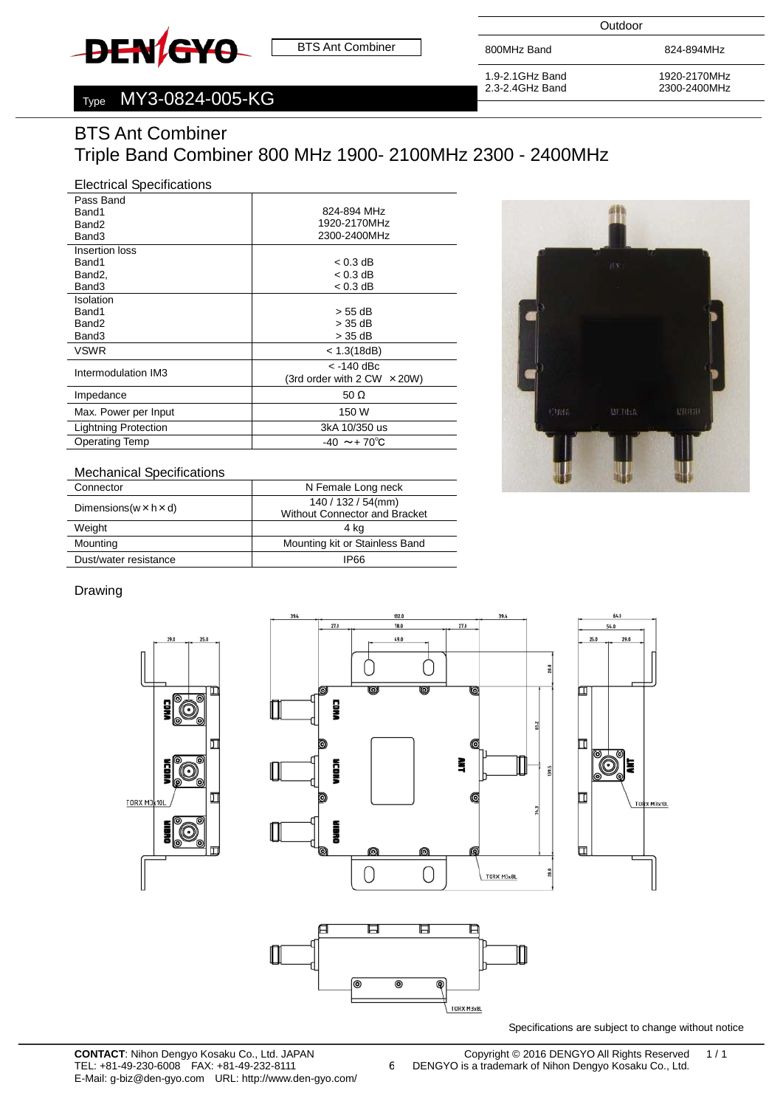<span id="page-5-0"></span>

**Outdoor** 

1.9-2.1GHz Band 2.3-2.4GHz Band

800MHz Band 824-894MHz

1920-2170MHz 2300-2400MHz

# Type MY3-0824-005-KG

# BTS Ant Combiner Triple Band Combiner 800 MHz 1900- 2100MHz 2300 - 2400MHz

## Electrical Specifications

| Pass Band                   |                                      |
|-----------------------------|--------------------------------------|
| Band1                       | 824-894 MHz                          |
| Band <sub>2</sub>           | 1920-2170MHz                         |
| Band3                       | 2300-2400MHz                         |
| Insertion loss              |                                      |
| Band1                       | $< 0.3$ dB                           |
| Band <sub>2</sub> .         | $< 0.3$ dB                           |
| Band3                       | $< 0.3$ dB                           |
| Isolation                   |                                      |
| Band1                       | > 55 dB                              |
| Band <sub>2</sub>           | > 35 dB                              |
| Band3                       | > 35 dB                              |
| <b>VSWR</b>                 | < 1.3(18dB)                          |
| Intermodulation IM3         | $<$ -140 dBc                         |
|                             | (3rd order with $2$ CW $\times$ 20W) |
| Impedance                   | 50 $\Omega$                          |
| Max. Power per Input        | 150 W                                |
| <b>Lightning Protection</b> | 3kA 10/350 us                        |
| <b>Operating Temp</b>       | $-40 \sim +70^{\circ}C$              |
|                             |                                      |



#### Mechanical Specifications

| Connector                            | N Female Long neck                   |  |
|--------------------------------------|--------------------------------------|--|
| Dimensions ( $w \times h \times d$ ) | $140/132/54$ (mm)                    |  |
|                                      | <b>Without Connector and Bracket</b> |  |
| Weight                               | 4 kg                                 |  |
| Mounting                             | Mounting kit or Stainless Band       |  |
| Dust/water resistance                | IP66                                 |  |

#### Drawing



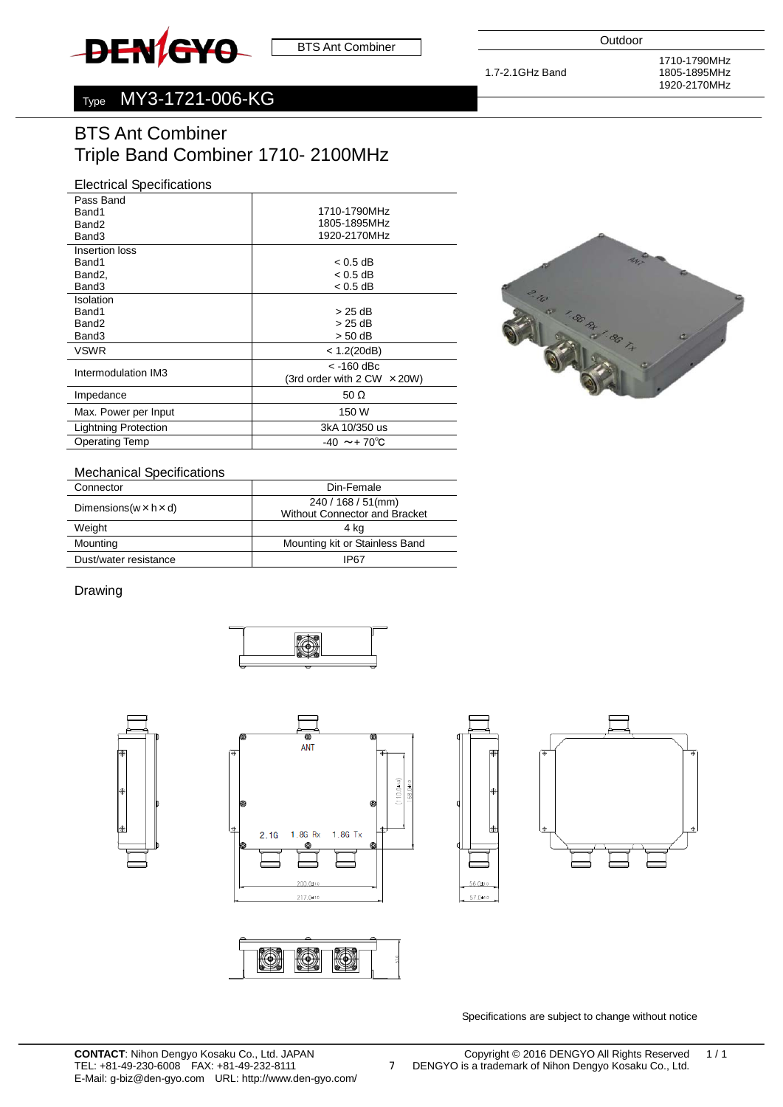<span id="page-6-0"></span>

1.7-2.1GHz Band

# Type MY3-1721-006-KG

# BTS Ant Combiner Triple Band Combiner 1710- 2100MHz

## Electrical Specifications

| Pass Band             |                                    |
|-----------------------|------------------------------------|
| Band1                 | 1710-1790MHz                       |
| Band <sub>2</sub>     | 1805-1895MHz                       |
| Band3                 | 1920-2170MHz                       |
| Insertion loss        |                                    |
| Band1                 | $< 0.5$ dB                         |
| Band <sub>2</sub> ,   | < 0.5 dB                           |
| Band3                 | $< 0.5$ dB                         |
| Isolation             |                                    |
| Band1                 | > 25 dB                            |
| Band <sub>2</sub>     | > 25 dB                            |
| Band3                 | > 50 dB                            |
| <b>VSWR</b>           | < 1.2(20dB)                        |
|                       | $<$ -160 dBc                       |
| Intermodulation IM3   | (3rd order with 2 CW $\times$ 20W) |
| Impedance             | 50 $\Omega$                        |
| Max. Power per Input  | 150 W                              |
| Lightning Protection  | 3kA 10/350 us                      |
| <b>Operating Temp</b> | $-40 \sim +70^{\circ}$ C           |



#### Mechanical Specifications

| Connector                            | Din-Female                           |
|--------------------------------------|--------------------------------------|
| Dimensions ( $w \times h \times d$ ) | 240 / 168 / 51(mm)                   |
|                                      | <b>Without Connector and Bracket</b> |
| Weight                               | 4 ka                                 |
| Mounting                             | Mounting kit or Stainless Band       |
| Dust/water resistance                | IP67                                 |

#### Drawing









7



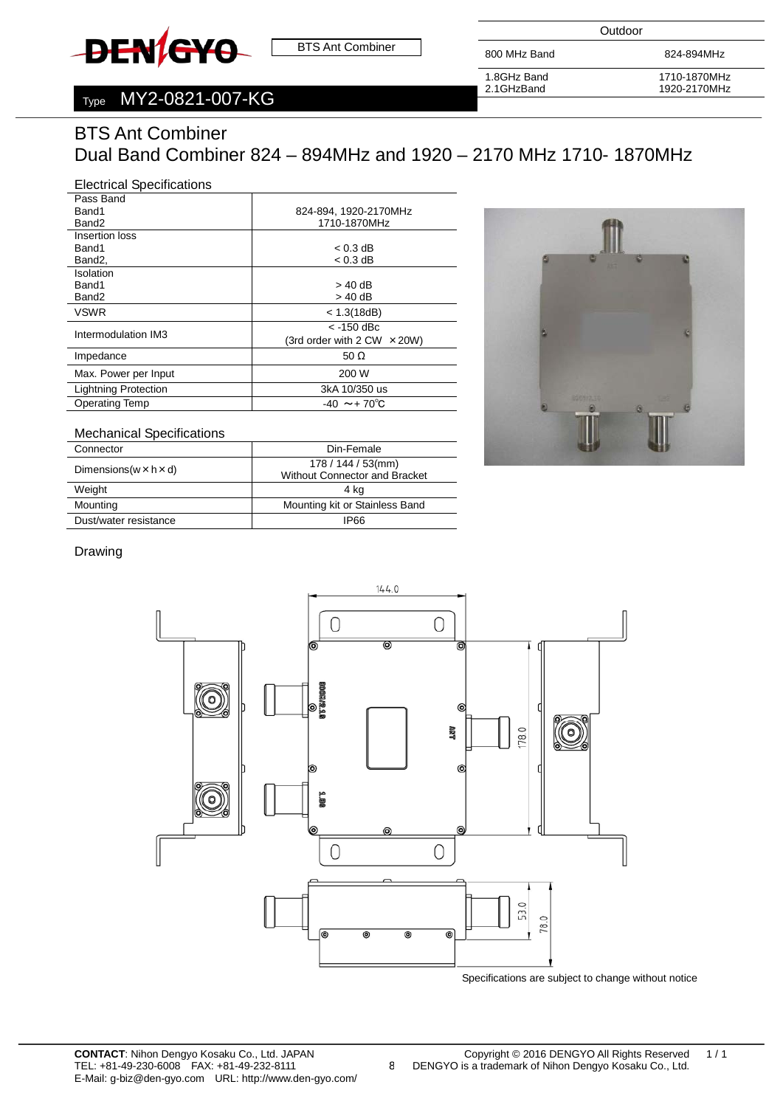# <span id="page-7-0"></span>**DEN/GYO**

BTS Ant Combiner

**Outdoor** 

800 MHz Band 824-894MHz

# Type MY2-0821-007-KG

1.8GHz Band 2.1GHzBand

1710-1870MHz 1920-2170MHz

# BTS Ant Combiner Dual Band Combiner 824 – 894MHz and 1920 – 2170 MHz 1710- 1870MHz

#### Electrical Specifications

| Pass Band                   |                                      |
|-----------------------------|--------------------------------------|
| Band1                       | 824-894, 1920-2170MHz                |
| Band <sub>2</sub>           | 1710-1870MHz                         |
| Insertion loss              |                                      |
| Band1                       | $< 0.3$ dB                           |
| Band2,                      | $< 0.3$ dB                           |
| Isolation                   |                                      |
| Band1                       | $>$ 40 dB                            |
| Band <sub>2</sub>           | > 40 dB                              |
| <b>VSWR</b>                 | < 1.3(18dB)                          |
| Intermodulation IM3         | $<$ -150 dBc                         |
|                             | (3rd order with $2$ CW $\times$ 20W) |
| Impedance                   | 50 $\Omega$                          |
| Max. Power per Input        | 200 W                                |
| <b>Lightning Protection</b> | 3kA 10/350 us                        |
| <b>Operating Temp</b>       | $-40 \sim +70^{\circ}$ C             |
|                             |                                      |



# Mechanical Specifications

| Connector                            | Din-Female                           |
|--------------------------------------|--------------------------------------|
| Dimensions ( $w \times h \times d$ ) | 178 / 144 / 53(mm)                   |
|                                      | <b>Without Connector and Bracket</b> |
| Weight                               | 4 ka                                 |
| Mounting                             | Mounting kit or Stainless Band       |
| Dust/water resistance                | 1P66                                 |

#### Drawing



8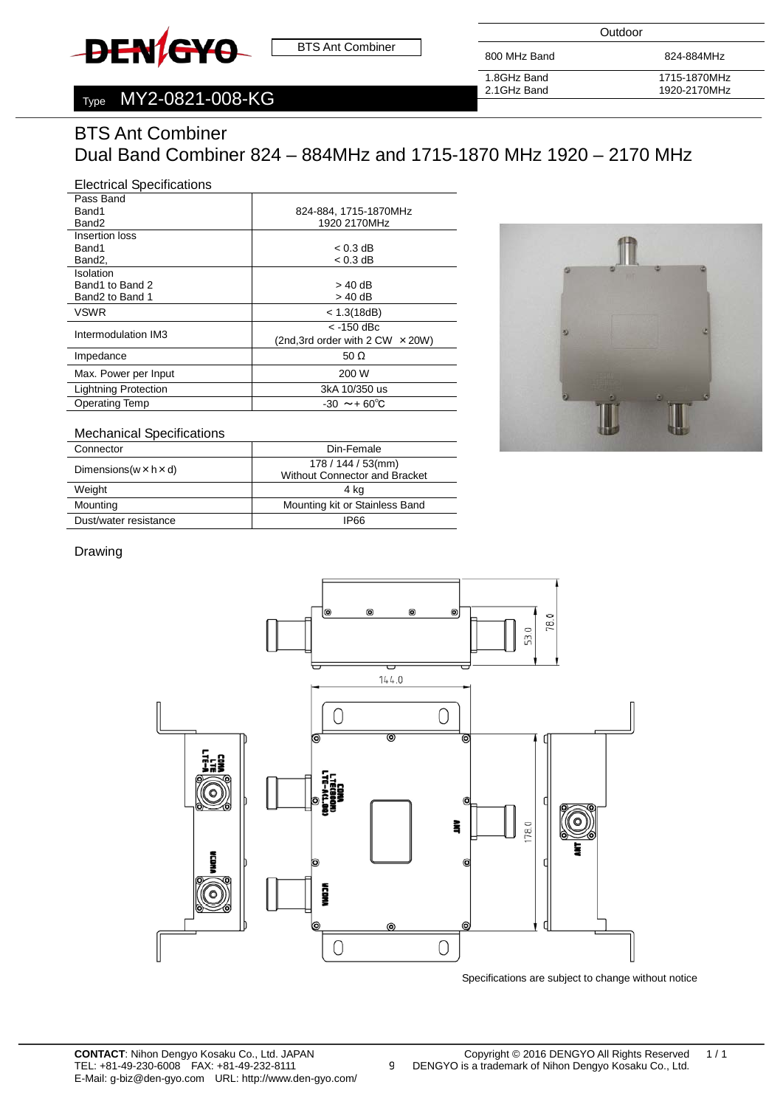<span id="page-8-0"></span>

**Outdoor** 

800 MHz Band 824-884MHz

# Type MY2-0821-008-KG

1.8GHz Band 2.1GHz Band 1715-1870MHz 1920-2170MHz

# BTS Ant Combiner Dual Band Combiner 824 – 884MHz and 1715-1870 MHz 1920 – 2170 MHz

## Electrical Specifications

| Pass Band                   |                                           |
|-----------------------------|-------------------------------------------|
| Band1                       | 824-884, 1715-1870MHz                     |
| Band2                       | 1920 2170MHz                              |
| Insertion loss              |                                           |
| Band1                       | $< 0.3$ dB                                |
| Band2,                      | $< 0.3$ dB                                |
| Isolation                   |                                           |
| Band1 to Band 2             | > 40 dB                                   |
| Band2 to Band 1             | > 40 dB                                   |
| <b>VSWR</b>                 | < 1.3(18dB)                               |
| Intermodulation IM3         | $<$ -150 dBc                              |
|                             | (2nd, 3rd order with $2$ CW $\times$ 20W) |
| Impedance                   | 50 $\Omega$                               |
| Max. Power per Input        | 200 W                                     |
| <b>Lightning Protection</b> | 3kA 10/350 us                             |
| <b>Operating Temp</b>       | $-30 \sim +60^{\circ}C$                   |
|                             |                                           |



# Mechanical Specifications

| Connector                            | Din-Female                                                |
|--------------------------------------|-----------------------------------------------------------|
| Dimensions ( $w \times h \times d$ ) | $178/144/53$ (mm)<br><b>Without Connector and Bracket</b> |
| Weight                               | 4 ka                                                      |
| Mounting                             | Mounting kit or Stainless Band                            |
| Dust/water resistance                | 1P66                                                      |

#### Drawing



9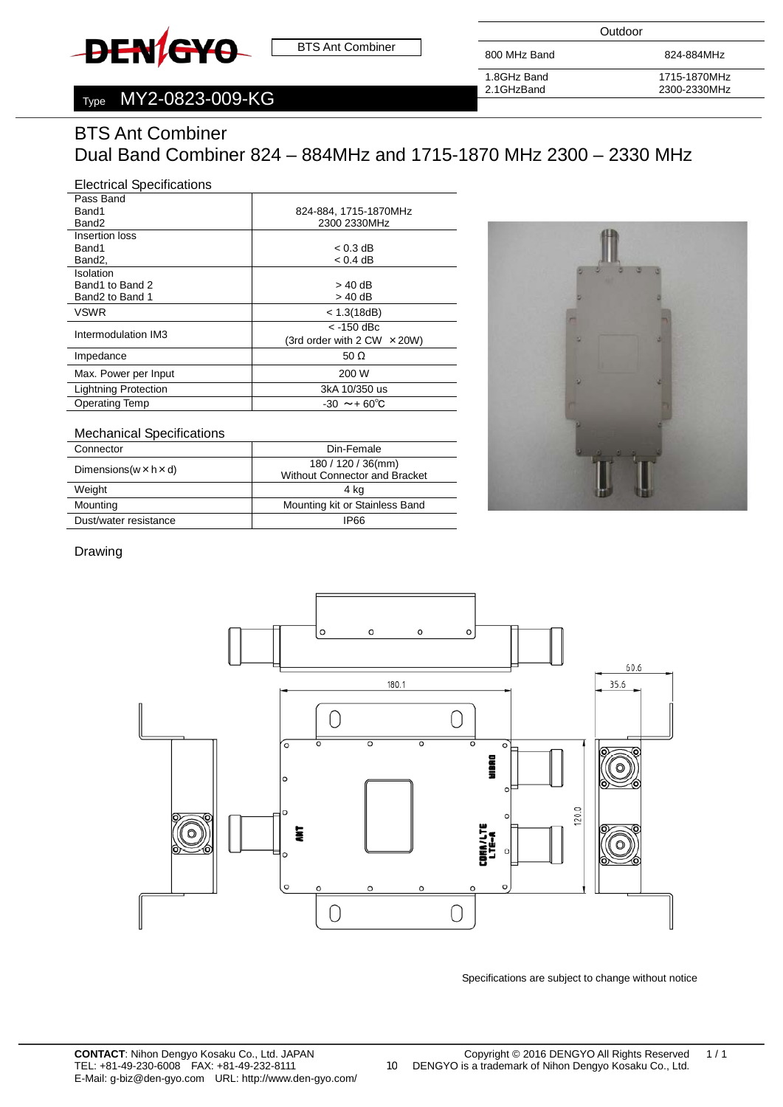<span id="page-9-0"></span>

**Outdoor** 

800 MHz Band 824-884MHz

# Type MY2-0823-009-KG

1.8GHz Band 2.1GHzBand

1715-1870MHz 2300-2330MHz

# BTS Ant Combiner

# Dual Band Combiner 824 – 884MHz and 1715-1870 MHz 2300 – 2330 MHz

# Electrical Specifications

| 824-884, 1715-1870MHz              |
|------------------------------------|
| 2300 2330MHz                       |
|                                    |
| $< 0.3$ dB                         |
| $< 0.4$ dB                         |
|                                    |
| > 40 dB                            |
| > 40 dB                            |
| < 1.3(18dB)                        |
| $<$ -150 dBc                       |
| (3rd order with 2 CW $\times$ 20W) |
| 50 $\Omega$                        |
| 200 W                              |
| 3kA 10/350 us                      |
| $-30 \sim 60^{\circ}C$             |
|                                    |



# Mechanical Specifications

| Connector                            | Din-Female                                                 |
|--------------------------------------|------------------------------------------------------------|
| Dimensions ( $w \times h \times d$ ) | 180 / 120 / 36(mm)<br><b>Without Connector and Bracket</b> |
|                                      |                                                            |
| Weight                               | 4 kg                                                       |
| Mounting                             | Mounting kit or Stainless Band                             |
| Dust/water resistance                | IP66                                                       |

#### Drawing



 $\overline{\phantom{0}}$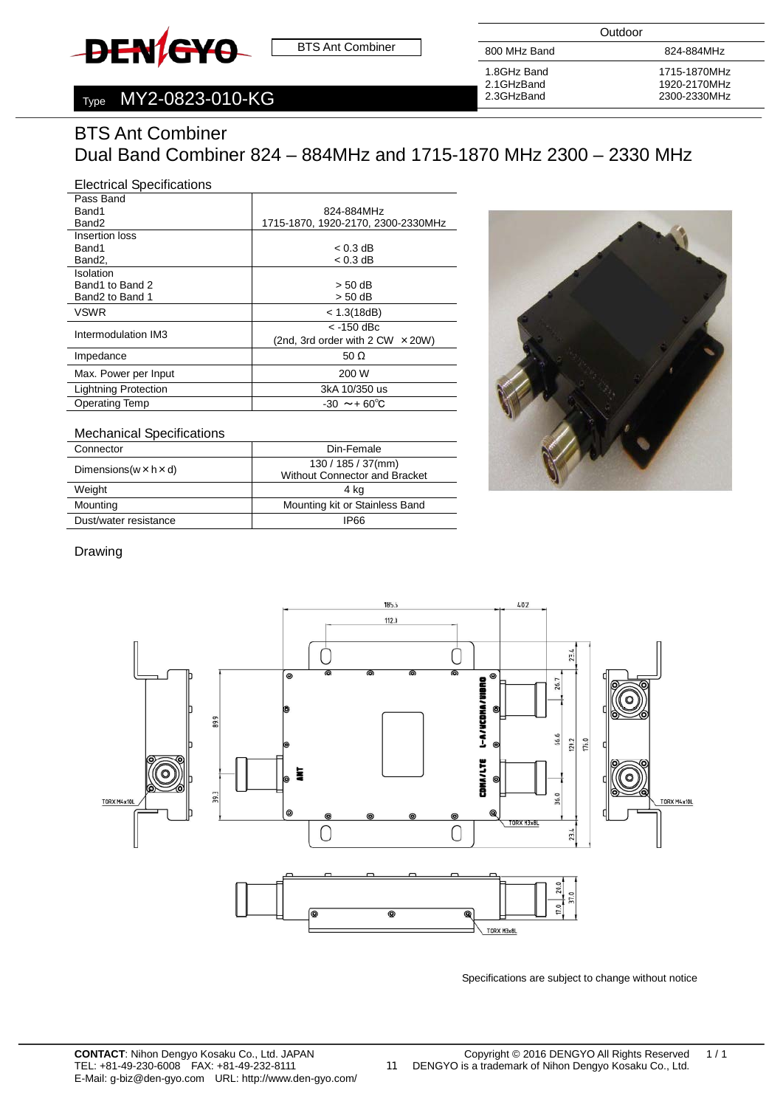<span id="page-10-0"></span>

**Outdoor** 

800 MHz Band 824-884MHz

# Type MY2-0823-010-KG

1.8GHz Band 2.1GHzBand 2.3GHzBand

1715-1870MHz 1920-2170MHz

# BTS Ant Combiner

# Dual Band Combiner 824 – 884MHz and 1715-1870 MHz 2300 – 2330 MHz

#### Electrical Specifications **Pass Band**

| гаээ цанч<br>Band1          | 824-884MHz                                |
|-----------------------------|-------------------------------------------|
| Band <sub>2</sub>           | 1715-1870, 1920-2170, 2300-2330MHz        |
|                             |                                           |
| Insertion loss              |                                           |
| Band1                       | $< 0.3$ dB                                |
| Band2,                      | $< 0.3$ dB                                |
| Isolation                   |                                           |
| Band1 to Band 2             | $> 50$ dB                                 |
| Band2 to Band 1             | $> 50$ dB                                 |
| <b>VSWR</b>                 | < 1.3(18dB)                               |
| Intermodulation IM3         | $<$ -150 dBc                              |
|                             | (2nd, 3rd order with $2$ CW $\times$ 20W) |
| Impedance                   | 50 $\Omega$                               |
| Max. Power per Input        | 200 W                                     |
| <b>Lightning Protection</b> | 3kA 10/350 us                             |
| <b>Operating Temp</b>       | $-30 \sim 60^{\circ}C$                    |



# Mechanical Specifications

| Connector                            | Din-Female                           |
|--------------------------------------|--------------------------------------|
| Dimensions ( $w \times h \times d$ ) | $130 / 185 / 37$ (mm)                |
|                                      | <b>Without Connector and Bracket</b> |
| Weight                               | 4 kg                                 |
| Mounting                             | Mounting kit or Stainless Band       |
| Dust/water resistance                | <b>IP66</b>                          |

#### Drawing



 $\overline{\phantom{0}}$ 

11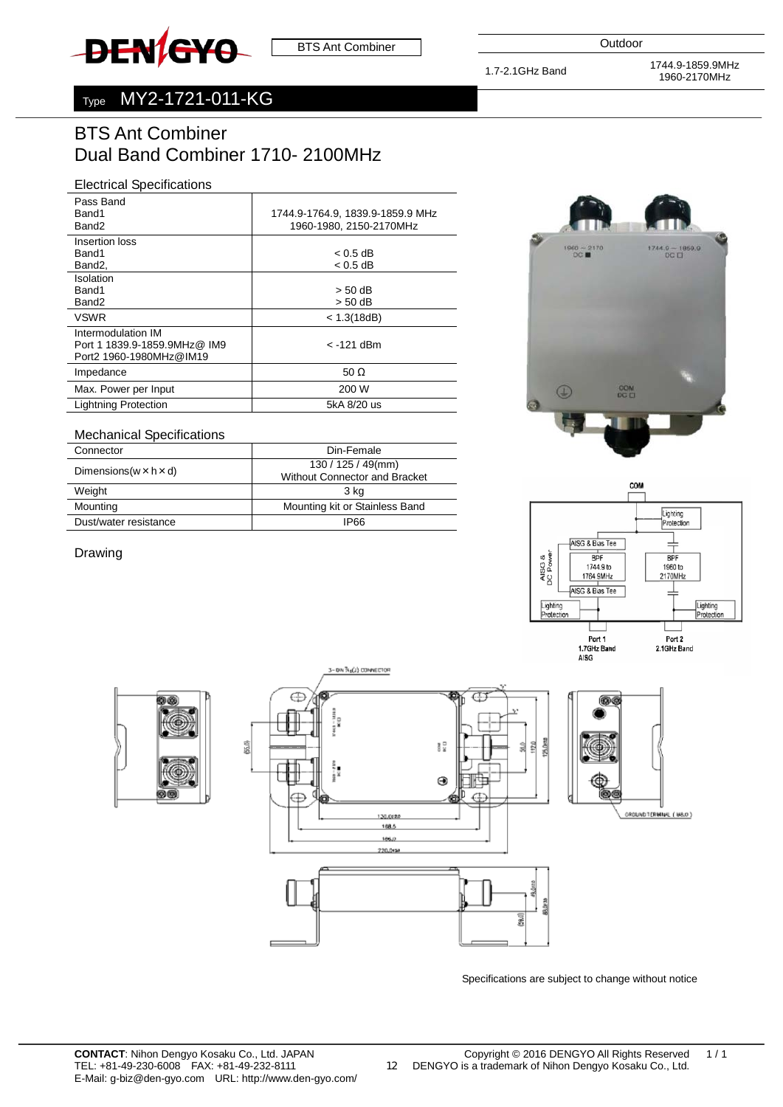<span id="page-11-0"></span>

1.7-2.1GHz Band 1744.9-1859.9MHz 1960-2170MHz

# Type MY2-1721-011-KG

# BTS Ant Combiner Dual Band Combiner 1710- 2100MHz

# Electrical Specifications

| Pass Band                                                                     |                                  |
|-------------------------------------------------------------------------------|----------------------------------|
| Band1                                                                         | 1744.9-1764.9, 1839.9-1859.9 MHz |
| Band <sub>2</sub>                                                             | 1960-1980, 2150-2170MHz          |
| Insertion loss                                                                |                                  |
| Band1                                                                         | $< 0.5$ dB                       |
| Band2,                                                                        | $< 0.5$ dB                       |
| Isolation                                                                     |                                  |
| Band1                                                                         | $> 50$ dB                        |
| Band <sub>2</sub>                                                             | $> 50$ dB                        |
| <b>VSWR</b>                                                                   | < 1.3(18dB)                      |
| Intermodulation IM<br>Port 1 1839.9-1859.9MHz@ IM9<br>Port2 1960-1980MHz@IM19 | < -121 dBm                       |
| Impedance                                                                     | 50 $\Omega$                      |
| Max. Power per Input                                                          | 200 W                            |
| <b>Lightning Protection</b>                                                   | 5kA 8/20 us                      |
|                                                                               |                                  |

#### Mechanical Specifications Connector Din-Female  $D$ imensions(w×h×d) 130 / 125 / 49(mm) Without Connector and Bracket Weight 3 kg Mounting Mounting Mounting Kit or Stainless Band Dust/water resistance IP66

Drawing







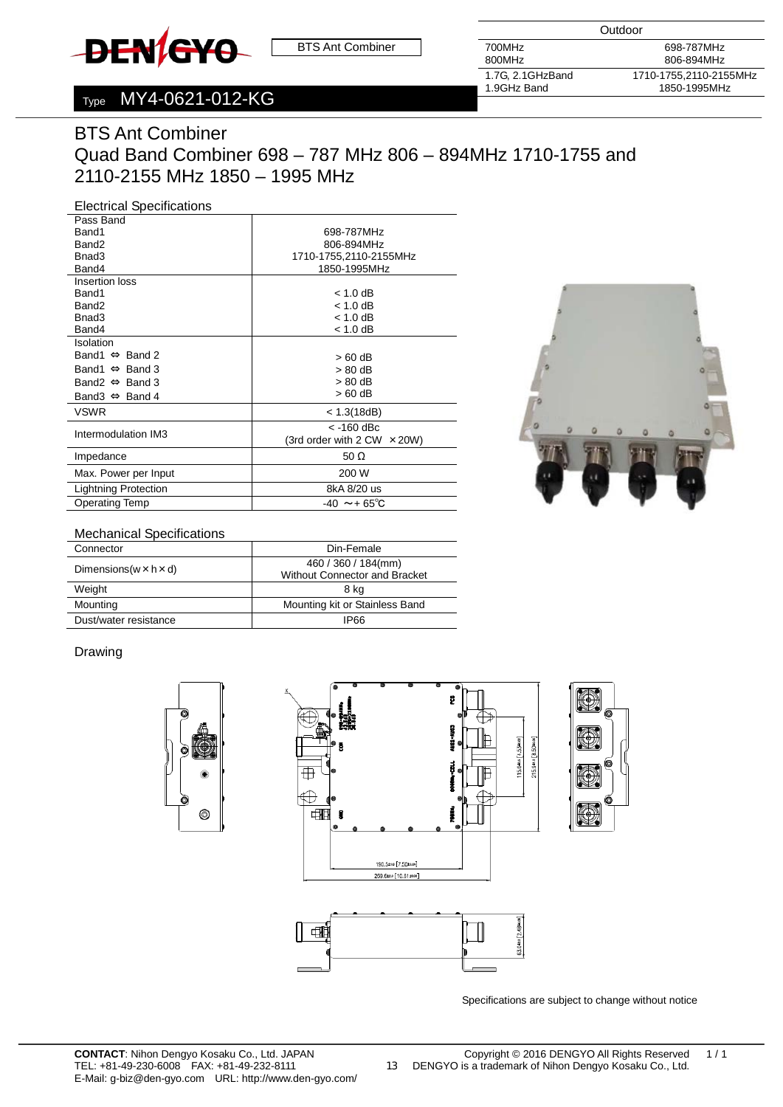<span id="page-12-0"></span>

**Outdoor** 

700MHz 800MHz

1.7G, 2.1GHzBand 1.9GHz Band

698-787MHz 806-894MHz 1710-1755,2110-2155MHz 1850-1995MHz

# Type MY4-0621-012-KG

# BTS Ant Combiner Quad Band Combiner 698 – 787 MHz 806 – 894MHz 1710-1755 and 2110-2155 MHz 1850 – 1995 MHz

#### Electrical Specifications

| Pass Band                      |                                      |
|--------------------------------|--------------------------------------|
| Band1                          | 698-787MHz                           |
| Band <sub>2</sub>              | 806-894MHz                           |
| Bnad3                          | 1710-1755,2110-2155MHz               |
| Band4                          | 1850-1995MHz                         |
| Insertion loss                 |                                      |
| Band1                          | $< 1.0$ dB                           |
| Band <sub>2</sub>              | $< 1.0$ dB                           |
| Bnad3                          | $< 1.0$ dB                           |
| Band4                          | $< 1.0$ dB                           |
| Isolation                      |                                      |
| Band1 $\Leftrightarrow$ Band 2 | $>60$ dB                             |
| Band $\Leftrightarrow$ Band 3  | > 80 dB                              |
| Band2 $\Leftrightarrow$ Band 3 | > 80 dB                              |
| Band $\Leftrightarrow$ Band 4  | > 60 dB                              |
| <b>VSWR</b>                    | < 1.3(18dB)                          |
|                                | $<$ -160 dBc                         |
| Intermodulation IM3            | (3rd order with $2$ CW $\times$ 20W) |
| Impedance                      | 50 $\Omega$                          |
| Max. Power per Input           | 200 W                                |
| <b>Lightning Protection</b>    | 8kA 8/20 us                          |
| <b>Operating Temp</b>          | $-40 \sim +65^{\circ}C$              |



#### Mechanical Specifications

| Connector                            | Din-Female                           |
|--------------------------------------|--------------------------------------|
| Dimensions ( $w \times h \times d$ ) | 460 / 360 / 184(mm)                  |
|                                      | <b>Without Connector and Bracket</b> |
| Weight                               | 8 kg                                 |
| Mounting                             | Mounting kit or Stainless Band       |
| Dust/water resistance                | IP66                                 |

#### Drawing